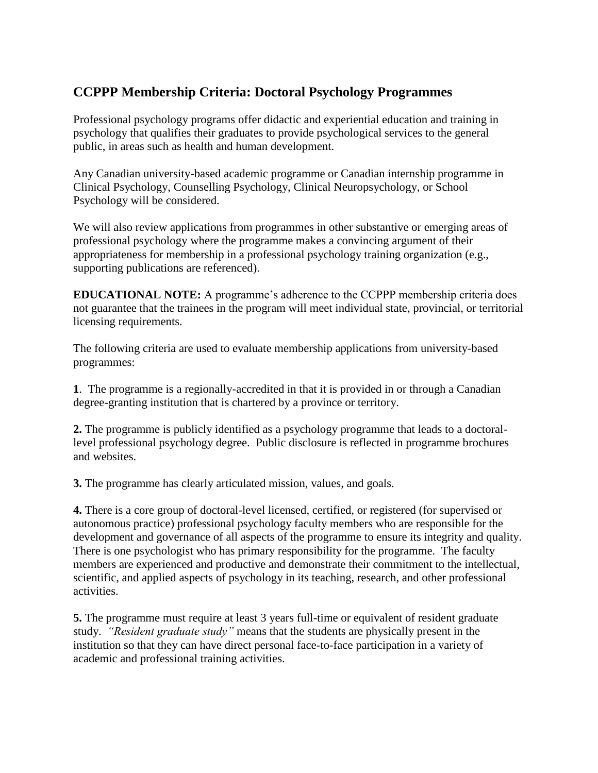# **CCPPP Membership Criteria: Doctoral Psychology Programmes**

Professional psychology programs offer didactic and experiential education and training in psychology that qualifies their graduates to provide psychological services to the general public, in areas such as health and human development.

Any Canadian university-based academic programme or Canadian internship programme in Clinical Psychology, Counselling Psychology, Clinical Neuropsychology, or School Psychology will be considered.

We will also review applications from programmes in other substantive or emerging areas of professional psychology where the programme makes a convincing argument of their appropriateness for membership in a professional psychology training organization (e.g., supporting publications are referenced).

**EDUCATIONAL NOTE:** A programme's adherence to the CCPPP membership criteria does not guarantee that the trainees in the program will meet individual state, provincial, or territorial licensing requirements.

The following criteria are used to evaluate membership applications from university-based programmes:

**1**. The programme is a regionally-accredited in that it is provided in or through a Canadian degree-granting institution that is chartered by a province or territory.

**2.** The programme is publicly identified as a psychology programme that leads to a doctorallevel professional psychology degree. Public disclosure is reflected in programme brochures and websites.

**3.** The programme has clearly articulated mission, values, and goals.

**4.** There is a core group of doctoral-level licensed, certified, or registered (for supervised or autonomous practice) professional psychology faculty members who are responsible for the development and governance of all aspects of the programme to ensure its integrity and quality. There is one psychologist who has primary responsibility for the programme. The faculty members are experienced and productive and demonstrate their commitment to the intellectual, scientific, and applied aspects of psychology in its teaching, research, and other professional activities.

**5.** The programme must require at least 3 years full-time or equivalent of resident graduate study. *"Resident graduate study"* means that the students are physically present in the institution so that they can have direct personal face-to-face participation in a variety of academic and professional training activities.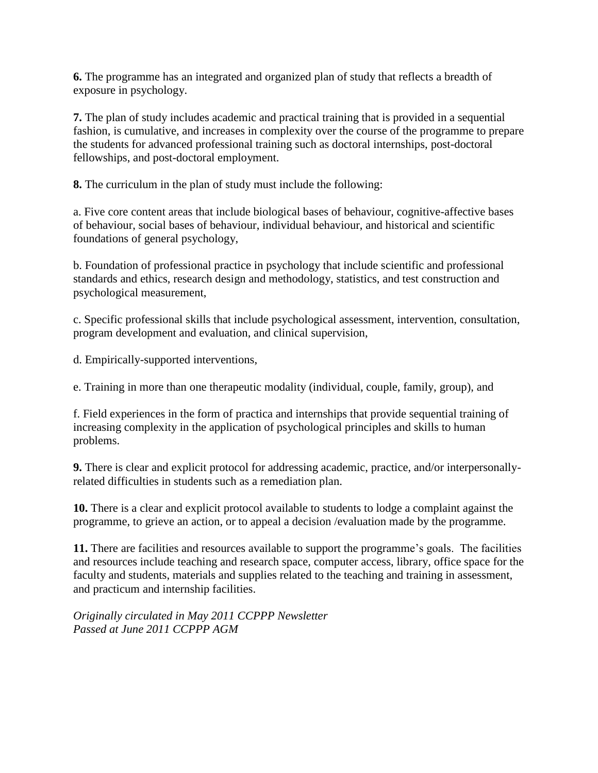**6.** The programme has an integrated and organized plan of study that reflects a breadth of exposure in psychology.

**7.** The plan of study includes academic and practical training that is provided in a sequential fashion, is cumulative, and increases in complexity over the course of the programme to prepare the students for advanced professional training such as doctoral internships, post-doctoral fellowships, and post-doctoral employment.

**8.** The curriculum in the plan of study must include the following:

a. Five core content areas that include biological bases of behaviour, cognitive-affective bases of behaviour, social bases of behaviour, individual behaviour, and historical and scientific foundations of general psychology,

b. Foundation of professional practice in psychology that include scientific and professional standards and ethics, research design and methodology, statistics, and test construction and psychological measurement,

c. Specific professional skills that include psychological assessment, intervention, consultation, program development and evaluation, and clinical supervision,

d. Empirically-supported interventions,

e. Training in more than one therapeutic modality (individual, couple, family, group), and

f. Field experiences in the form of practica and internships that provide sequential training of increasing complexity in the application of psychological principles and skills to human problems.

**9.** There is clear and explicit protocol for addressing academic, practice, and/or interpersonallyrelated difficulties in students such as a remediation plan.

**10.** There is a clear and explicit protocol available to students to lodge a complaint against the programme, to grieve an action, or to appeal a decision /evaluation made by the programme.

**11.** There are facilities and resources available to support the programme's goals. The facilities and resources include teaching and research space, computer access, library, office space for the faculty and students, materials and supplies related to the teaching and training in assessment, and practicum and internship facilities.

*Originally circulated in May 2011 CCPPP Newsletter Passed at June 2011 CCPPP AGM*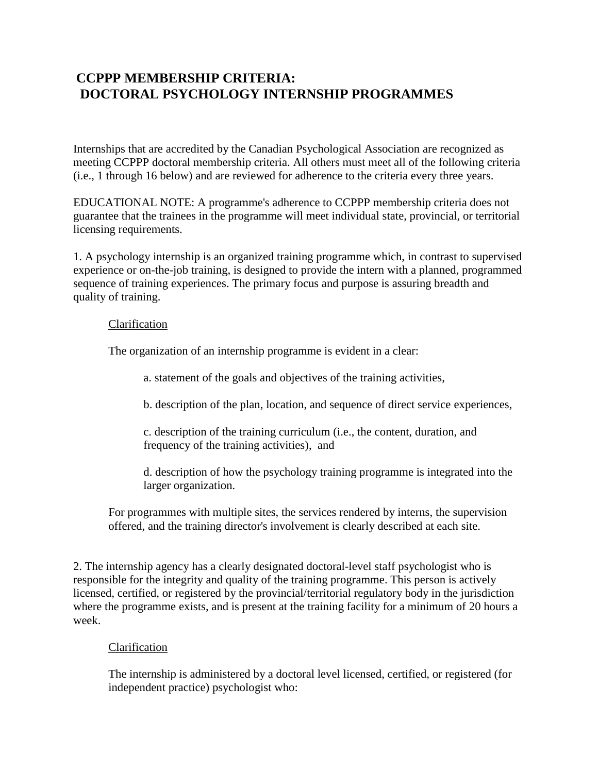# **CCPPP MEMBERSHIP CRITERIA: DOCTORAL PSYCHOLOGY INTERNSHIP PROGRAMMES**

Internships that are accredited by the Canadian Psychological Association are recognized as meeting CCPPP doctoral membership criteria. All others must meet all of the following criteria (i.e., 1 through 16 below) and are reviewed for adherence to the criteria every three years.

EDUCATIONAL NOTE: A programme's adherence to CCPPP membership criteria does not guarantee that the trainees in the programme will meet individual state, provincial, or territorial licensing requirements.

1. A psychology internship is an organized training programme which, in contrast to supervised experience or on-the-job training, is designed to provide the intern with a planned, programmed sequence of training experiences. The primary focus and purpose is assuring breadth and quality of training.

## Clarification

The organization of an internship programme is evident in a clear:

a. statement of the goals and objectives of the training activities,

b. description of the plan, location, and sequence of direct service experiences,

c. description of the training curriculum (i.e., the content, duration, and frequency of the training activities), and

d. description of how the psychology training programme is integrated into the larger organization.

For programmes with multiple sites, the services rendered by interns, the supervision offered, and the training director's involvement is clearly described at each site.

2. The internship agency has a clearly designated doctoral-level staff psychologist who is responsible for the integrity and quality of the training programme. This person is actively licensed, certified, or registered by the provincial/territorial regulatory body in the jurisdiction where the programme exists, and is present at the training facility for a minimum of 20 hours a week.

# Clarification

The internship is administered by a doctoral level licensed, certified, or registered (for independent practice) psychologist who: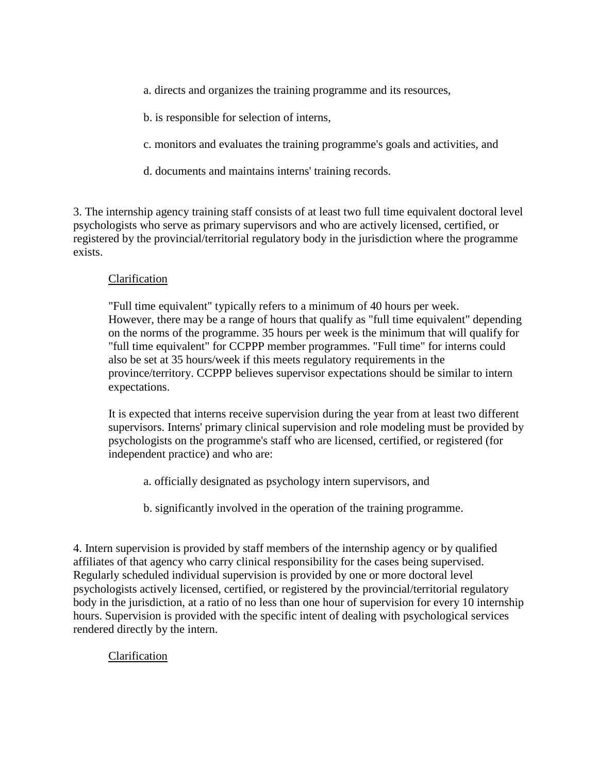- a. directs and organizes the training programme and its resources,
- b. is responsible for selection of interns,
- c. monitors and evaluates the training programme's goals and activities, and
- d. documents and maintains interns' training records.

3. The internship agency training staff consists of at least two full time equivalent doctoral level psychologists who serve as primary supervisors and who are actively licensed, certified, or registered by the provincial/territorial regulatory body in the jurisdiction where the programme exists.

## Clarification

"Full time equivalent" typically refers to a minimum of 40 hours per week. However, there may be a range of hours that qualify as "full time equivalent" depending on the norms of the programme. 35 hours per week is the minimum that will qualify for "full time equivalent" for CCPPP member programmes. "Full time" for interns could also be set at 35 hours/week if this meets regulatory requirements in the province/territory. CCPPP believes supervisor expectations should be similar to intern expectations.

It is expected that interns receive supervision during the year from at least two different supervisors. Interns' primary clinical supervision and role modeling must be provided by psychologists on the programme's staff who are licensed, certified, or registered (for independent practice) and who are:

- a. officially designated as psychology intern supervisors, and
- b. significantly involved in the operation of the training programme.

4. Intern supervision is provided by staff members of the internship agency or by qualified affiliates of that agency who carry clinical responsibility for the cases being supervised. Regularly scheduled individual supervision is provided by one or more doctoral level psychologists actively licensed, certified, or registered by the provincial/territorial regulatory body in the jurisdiction, at a ratio of no less than one hour of supervision for every 10 internship hours. Supervision is provided with the specific intent of dealing with psychological services rendered directly by the intern.

# Clarification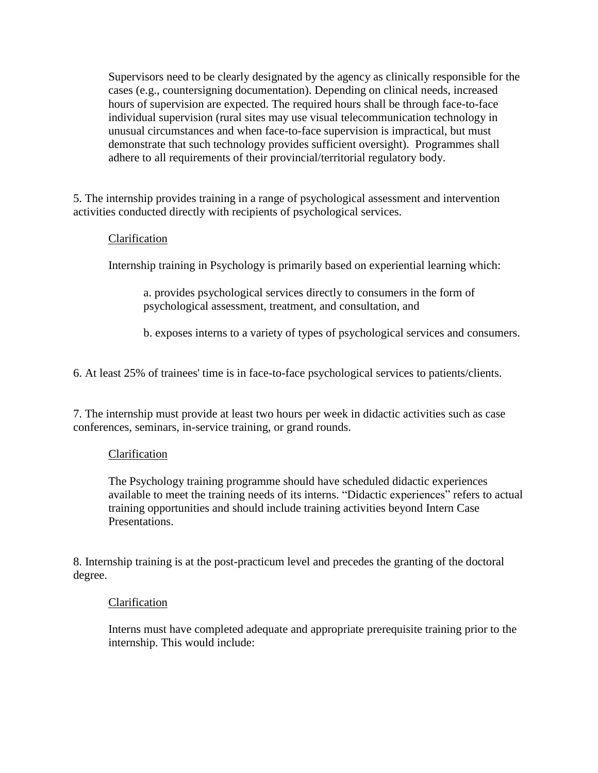Supervisors need to be clearly designated by the agency as clinically responsible for the cases (e.g., countersigning documentation). Depending on clinical needs, increased hours of supervision are expected. The required hours shall be through face-to-face individual supervision (rural sites may use visual telecommunication technology in unusual circumstances and when face-to-face supervision is impractical, but must demonstrate that such technology provides sufficient oversight). Programmes shall adhere to all requirements of their provincial/territorial regulatory body.

5. The internship provides training in a range of psychological assessment and intervention activities conducted directly with recipients of psychological services.

# Clarification

Internship training in Psychology is primarily based on experiential learning which:

a. provides psychological services directly to consumers in the form of psychological assessment, treatment, and consultation, and

b. exposes interns to a variety of types of psychological services and consumers.

6. At least 25% of trainees' time is in face-to-face psychological services to patients/clients.

7. The internship must provide at least two hours per week in didactic activities such as case conferences, seminars, in-service training, or grand rounds.

## Clarification

The Psychology training programme should have scheduled didactic experiences available to meet the training needs of its interns. "Didactic experiences" refers to actual training opportunities and should include training activities beyond Intern Case Presentations.

8. Internship training is at the post-practicum level and precedes the granting of the doctoral degree.

## Clarification

Interns must have completed adequate and appropriate prerequisite training prior to the internship. This would include: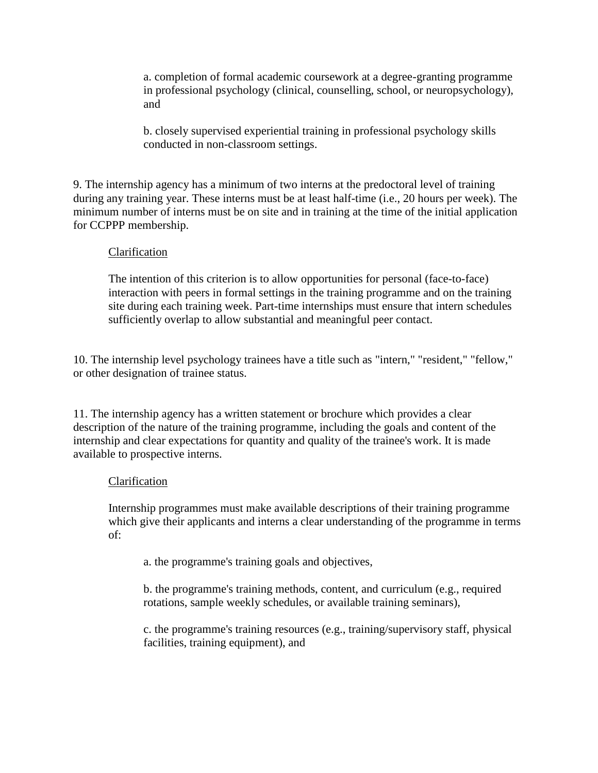a. completion of formal academic coursework at a degree-granting programme in professional psychology (clinical, counselling, school, or neuropsychology), and

b. closely supervised experiential training in professional psychology skills conducted in non-classroom settings.

9. The internship agency has a minimum of two interns at the predoctoral level of training during any training year. These interns must be at least half-time (i.e., 20 hours per week). The minimum number of interns must be on site and in training at the time of the initial application for CCPPP membership.

## Clarification

The intention of this criterion is to allow opportunities for personal (face-to-face) interaction with peers in formal settings in the training programme and on the training site during each training week. Part-time internships must ensure that intern schedules sufficiently overlap to allow substantial and meaningful peer contact.

10. The internship level psychology trainees have a title such as "intern," "resident," "fellow," or other designation of trainee status.

11. The internship agency has a written statement or brochure which provides a clear description of the nature of the training programme, including the goals and content of the internship and clear expectations for quantity and quality of the trainee's work. It is made available to prospective interns.

## Clarification

Internship programmes must make available descriptions of their training programme which give their applicants and interns a clear understanding of the programme in terms of:

a. the programme's training goals and objectives,

b. the programme's training methods, content, and curriculum (e.g., required rotations, sample weekly schedules, or available training seminars),

c. the programme's training resources (e.g., training/supervisory staff, physical facilities, training equipment), and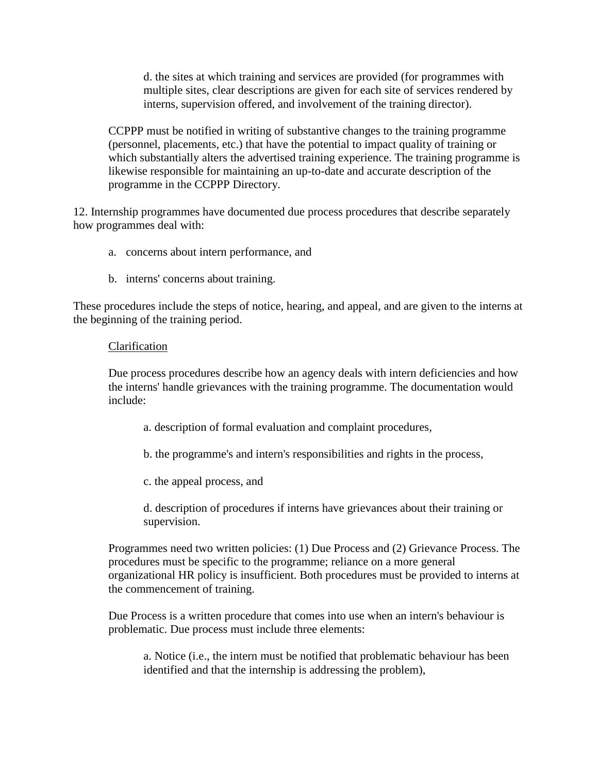d. the sites at which training and services are provided (for programmes with multiple sites, clear descriptions are given for each site of services rendered by interns, supervision offered, and involvement of the training director).

CCPPP must be notified in writing of substantive changes to the training programme (personnel, placements, etc.) that have the potential to impact quality of training or which substantially alters the advertised training experience. The training programme is likewise responsible for maintaining an up-to-date and accurate description of the programme in the CCPPP Directory.

12. Internship programmes have documented due process procedures that describe separately how programmes deal with:

- a. concerns about intern performance, and
- b. interns' concerns about training.

These procedures include the steps of notice, hearing, and appeal, and are given to the interns at the beginning of the training period.

## Clarification

Due process procedures describe how an agency deals with intern deficiencies and how the interns' handle grievances with the training programme. The documentation would include:

- a. description of formal evaluation and complaint procedures,
- b. the programme's and intern's responsibilities and rights in the process,
- c. the appeal process, and

d. description of procedures if interns have grievances about their training or supervision.

Programmes need two written policies: (1) Due Process and (2) Grievance Process. The procedures must be specific to the programme; reliance on a more general organizational HR policy is insufficient. Both procedures must be provided to interns at the commencement of training.

Due Process is a written procedure that comes into use when an intern's behaviour is problematic. Due process must include three elements:

a. Notice (i.e., the intern must be notified that problematic behaviour has been identified and that the internship is addressing the problem),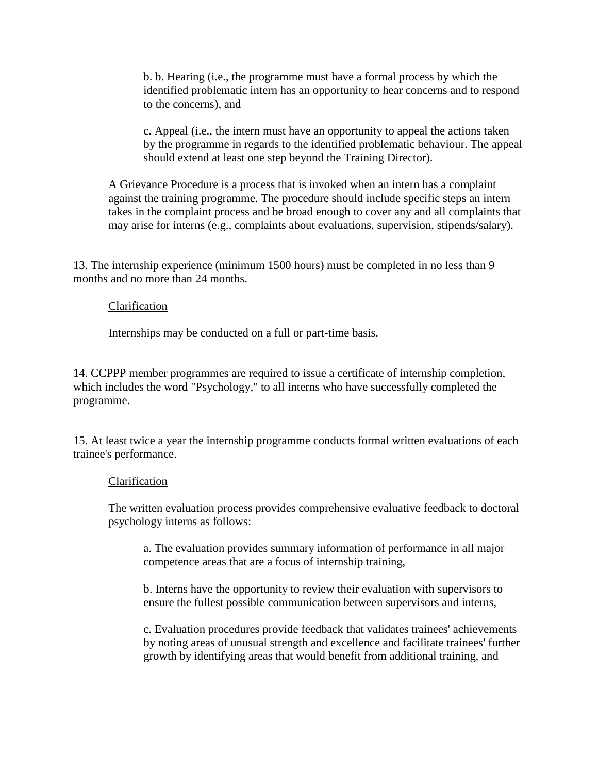b. b. Hearing (i.e., the programme must have a formal process by which the identified problematic intern has an opportunity to hear concerns and to respond to the concerns), and

c. Appeal (i.e., the intern must have an opportunity to appeal the actions taken by the programme in regards to the identified problematic behaviour. The appeal should extend at least one step beyond the Training Director).

A Grievance Procedure is a process that is invoked when an intern has a complaint against the training programme. The procedure should include specific steps an intern takes in the complaint process and be broad enough to cover any and all complaints that may arise for interns (e.g., complaints about evaluations, supervision, stipends/salary).

13. The internship experience (minimum 1500 hours) must be completed in no less than 9 months and no more than 24 months.

#### Clarification

Internships may be conducted on a full or part-time basis.

14. CCPPP member programmes are required to issue a certificate of internship completion, which includes the word "Psychology," to all interns who have successfully completed the programme.

15. At least twice a year the internship programme conducts formal written evaluations of each trainee's performance.

#### Clarification

The written evaluation process provides comprehensive evaluative feedback to doctoral psychology interns as follows:

a. The evaluation provides summary information of performance in all major competence areas that are a focus of internship training,

b. Interns have the opportunity to review their evaluation with supervisors to ensure the fullest possible communication between supervisors and interns,

c. Evaluation procedures provide feedback that validates trainees' achievements by noting areas of unusual strength and excellence and facilitate trainees' further growth by identifying areas that would benefit from additional training, and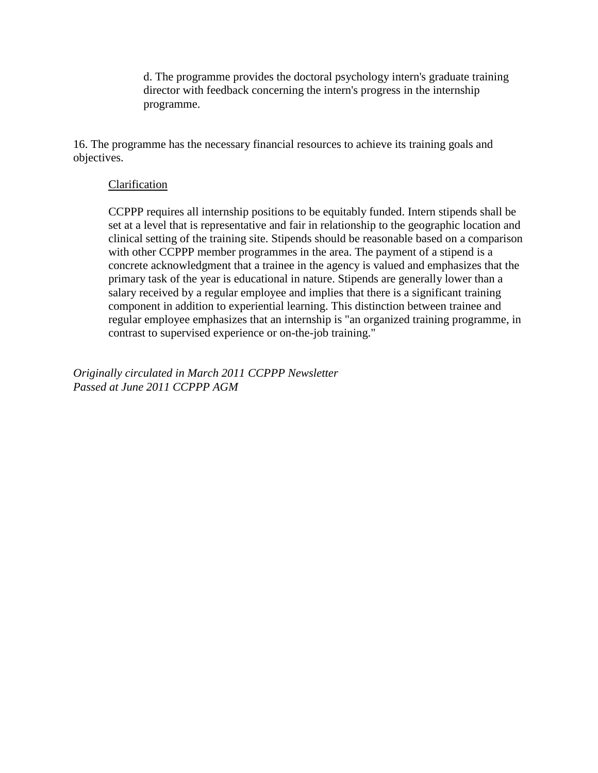d. The programme provides the doctoral psychology intern's graduate training director with feedback concerning the intern's progress in the internship programme.

16. The programme has the necessary financial resources to achieve its training goals and objectives.

## Clarification

CCPPP requires all internship positions to be equitably funded. Intern stipends shall be set at a level that is representative and fair in relationship to the geographic location and clinical setting of the training site. Stipends should be reasonable based on a comparison with other CCPPP member programmes in the area. The payment of a stipend is a concrete acknowledgment that a trainee in the agency is valued and emphasizes that the primary task of the year is educational in nature. Stipends are generally lower than a salary received by a regular employee and implies that there is a significant training component in addition to experiential learning. This distinction between trainee and regular employee emphasizes that an internship is "an organized training programme, in contrast to supervised experience or on-the-job training."

*Originally circulated in March 2011 CCPPP Newsletter Passed at June 2011 CCPPP AGM*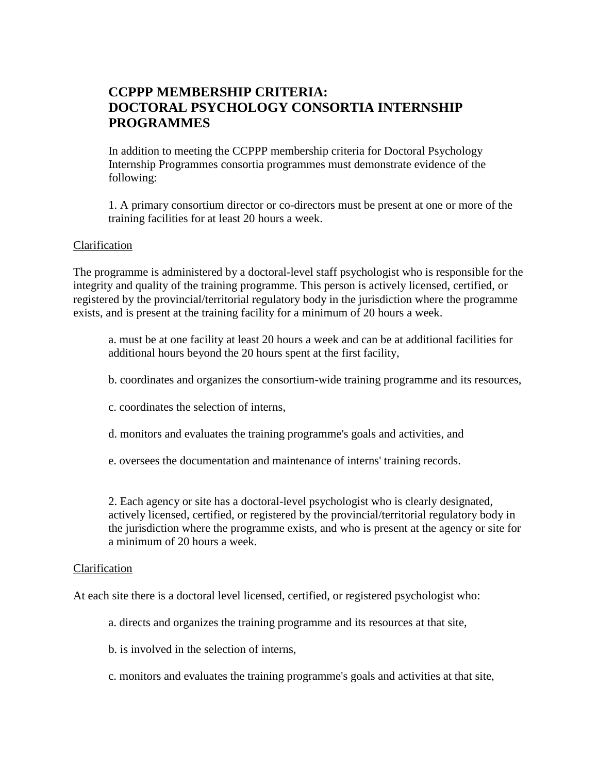# **CCPPP MEMBERSHIP CRITERIA: DOCTORAL PSYCHOLOGY CONSORTIA INTERNSHIP PROGRAMMES**

In addition to meeting the CCPPP membership criteria for Doctoral Psychology Internship Programmes consortia programmes must demonstrate evidence of the following:

1. A primary consortium director or co-directors must be present at one or more of the training facilities for at least 20 hours a week.

## Clarification

The programme is administered by a doctoral-level staff psychologist who is responsible for the integrity and quality of the training programme. This person is actively licensed, certified, or registered by the provincial/territorial regulatory body in the jurisdiction where the programme exists, and is present at the training facility for a minimum of 20 hours a week.

a. must be at one facility at least 20 hours a week and can be at additional facilities for additional hours beyond the 20 hours spent at the first facility,

- b. coordinates and organizes the consortium-wide training programme and its resources,
- c. coordinates the selection of interns,
- d. monitors and evaluates the training programme's goals and activities, and
- e. oversees the documentation and maintenance of interns' training records.

2. Each agency or site has a doctoral-level psychologist who is clearly designated, actively licensed, certified, or registered by the provincial/territorial regulatory body in the jurisdiction where the programme exists, and who is present at the agency or site for a minimum of 20 hours a week.

#### Clarification

At each site there is a doctoral level licensed, certified, or registered psychologist who:

- a. directs and organizes the training programme and its resources at that site,
- b. is involved in the selection of interns,
- c. monitors and evaluates the training programme's goals and activities at that site,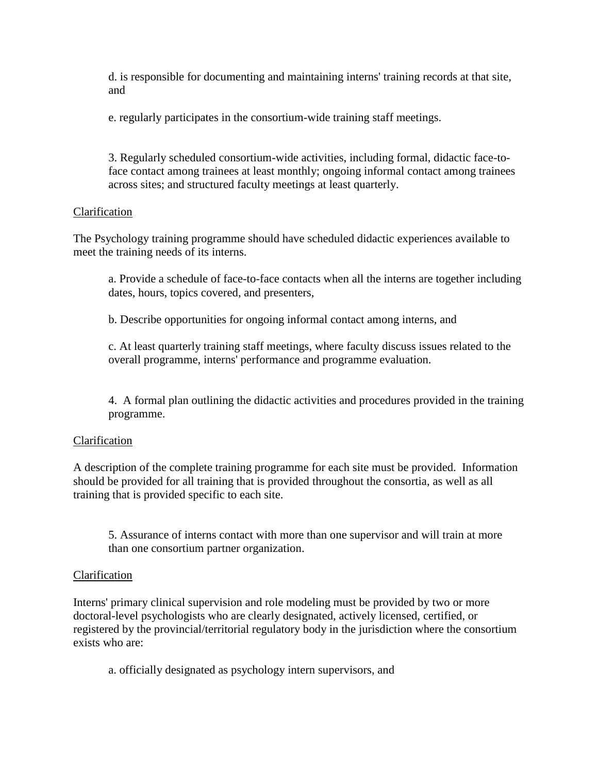d. is responsible for documenting and maintaining interns' training records at that site, and

e. regularly participates in the consortium-wide training staff meetings.

3. Regularly scheduled consortium-wide activities, including formal, didactic face-toface contact among trainees at least monthly; ongoing informal contact among trainees across sites; and structured faculty meetings at least quarterly.

## Clarification

The Psychology training programme should have scheduled didactic experiences available to meet the training needs of its interns.

a. Provide a schedule of face-to-face contacts when all the interns are together including dates, hours, topics covered, and presenters,

b. Describe opportunities for ongoing informal contact among interns, and

c. At least quarterly training staff meetings, where faculty discuss issues related to the overall programme, interns' performance and programme evaluation.

4. A formal plan outlining the didactic activities and procedures provided in the training programme.

# Clarification

A description of the complete training programme for each site must be provided. Information should be provided for all training that is provided throughout the consortia, as well as all training that is provided specific to each site.

5. Assurance of interns contact with more than one supervisor and will train at more than one consortium partner organization.

# Clarification

Interns' primary clinical supervision and role modeling must be provided by two or more doctoral-level psychologists who are clearly designated, actively licensed, certified, or registered by the provincial/territorial regulatory body in the jurisdiction where the consortium exists who are:

a. officially designated as psychology intern supervisors, and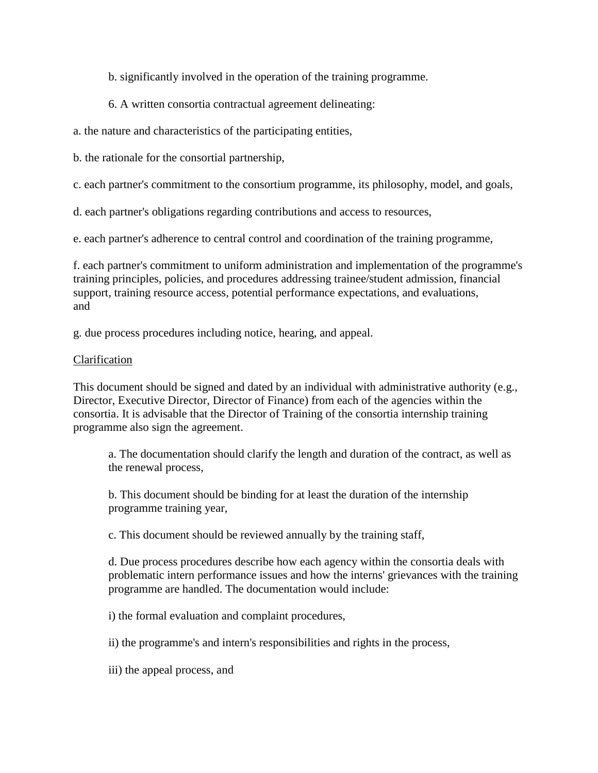b. significantly involved in the operation of the training programme.

## 6. A written consortia contractual agreement delineating:

a. the nature and characteristics of the participating entities,

b. the rationale for the consortial partnership,

c. each partner's commitment to the consortium programme, its philosophy, model, and goals,

d. each partner's obligations regarding contributions and access to resources,

e. each partner's adherence to central control and coordination of the training programme,

f. each partner's commitment to uniform administration and implementation of the programme's training principles, policies, and procedures addressing trainee/student admission, financial support, training resource access, potential performance expectations, and evaluations, and

g. due process procedures including notice, hearing, and appeal.

## Clarification

This document should be signed and dated by an individual with administrative authority (e.g., Director, Executive Director, Director of Finance) from each of the agencies within the consortia. It is advisable that the Director of Training of the consortia internship training programme also sign the agreement.

a. The documentation should clarify the length and duration of the contract, as well as the renewal process,

b. This document should be binding for at least the duration of the internship programme training year,

c. This document should be reviewed annually by the training staff,

d. Due process procedures describe how each agency within the consortia deals with problematic intern performance issues and how the interns' grievances with the training programme are handled. The documentation would include:

i) the formal evaluation and complaint procedures,

ii) the programme's and intern's responsibilities and rights in the process,

iii) the appeal process, and